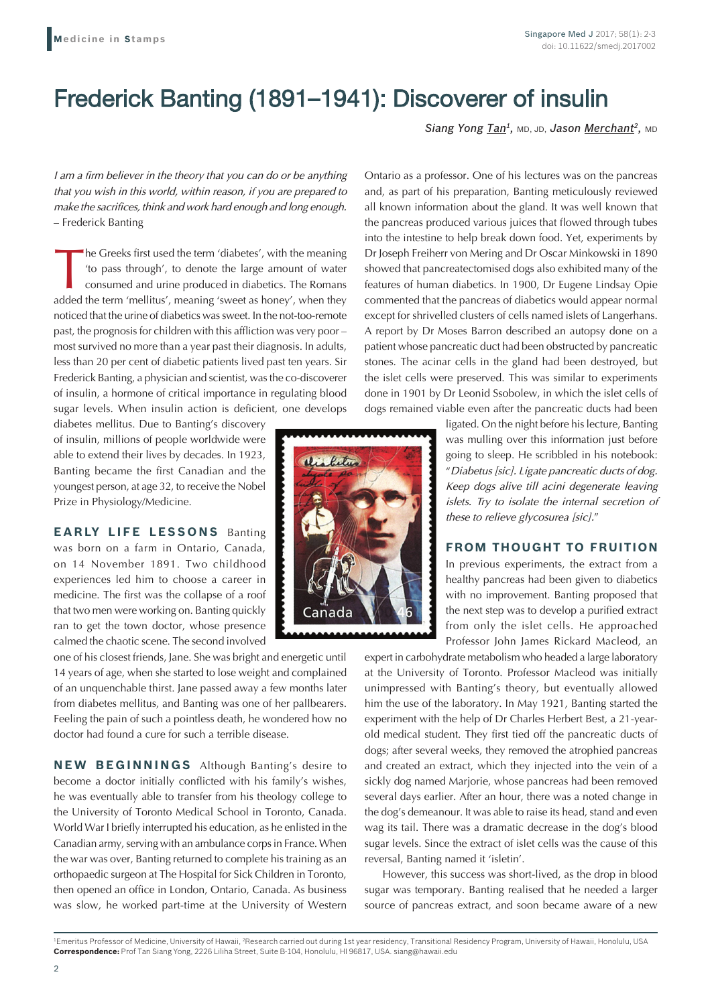## Frederick Banting (1891–1941): Discoverer of insulin

*Siang Yong Tan1,* MD, JD, *Jason Merchant2,* MD

*I am a firm believer in the theory that you can do or be anything that you wish in this world, within reason, if you are prepared to make the sacrifices, think and work hard enough and long enough.* – Frederick Banting

The Greeks first used the term 'diabetes', with the meaning 'to pass through', to denote the large amount of water consumed and urine produced in diabetics. The Romans added the term 'mellitus', meaning 'sweet as honey', when they noticed that the urine of diabetics was sweet. In the not-too-remote past, the prognosis for children with this affliction was very poor – most survived no more than a year past their diagnosis. In adults, less than 20 per cent of diabetic patients lived past ten years. Sir Frederick Banting, a physician and scientist, was the co-discoverer of insulin, a hormone of critical importance in regulating blood sugar levels. When insulin action is deficient, one develops

diabetes mellitus. Due to Banting's discovery of insulin, millions of people worldwide were able to extend their lives by decades. In 1923, Banting became the first Canadian and the youngest person, at age 32, to receive the Nobel Prize in Physiology/Medicine.

**EARLY LIFE LESSONS** Banting was born on a farm in Ontario, Canada, on 14 November 1891. Two childhood experiences led him to choose a career in medicine. The first was the collapse of a roof that two men were working on. Banting quickly ran to get the town doctor, whose presence calmed the chaotic scene. The second involved

one of his closest friends, Jane. She was bright and energetic until 14 years of age, when she started to lose weight and complained of an unquenchable thirst. Jane passed away a few months later from diabetes mellitus, and Banting was one of her pallbearers. Feeling the pain of such a pointless death, he wondered how no doctor had found a cure for such a terrible disease.

**NEW BEGINNINGS** Although Banting's desire to become a doctor initially conflicted with his family's wishes, he was eventually able to transfer from his theology college to the University of Toronto Medical School in Toronto, Canada. World War I briefly interrupted his education, as he enlisted in the Canadian army, serving with an ambulance corps in France. When the war was over, Banting returned to complete his training as an orthopaedic surgeon at The Hospital for Sick Children in Toronto, then opened an office in London, Ontario, Canada. As business was slow, he worked part-time at the University of Western



Ontario as a professor. One of his lectures was on the pancreas and, as part of his preparation, Banting meticulously reviewed all known information about the gland. It was well known that the pancreas produced various juices that flowed through tubes into the intestine to help break down food. Yet, experiments by Dr Joseph Freiherr von Mering and Dr Oscar Minkowski in 1890 showed that pancreatectomised dogs also exhibited many of the features of human diabetics. In 1900, Dr Eugene Lindsay Opie commented that the pancreas of diabetics would appear normal except for shrivelled clusters of cells named islets of Langerhans. A report by Dr Moses Barron described an autopsy done on a patient whose pancreatic duct had been obstructed by pancreatic stones. The acinar cells in the gland had been destroyed, but the islet cells were preserved. This was similar to experiments done in 1901 by Dr Leonid Ssobolew, in which the islet cells of dogs remained viable even after the pancreatic ducts had been

> ligated. On the night before his lecture, Banting was mulling over this information just before going to sleep. He scribbled in his notebook: "*Diabetus [sic]. Ligate pancreatic ducts of dog. Keep dogs alive till acini degenerate leaving islets. Try to isolate the internal secretion of these to relieve glycosurea [sic].*"

## **FROM THOUGHT TO FRUITION**

In previous experiments, the extract from a healthy pancreas had been given to diabetics with no improvement. Banting proposed that the next step was to develop a purified extract from only the islet cells. He approached Professor John James Rickard Macleod, an

expert in carbohydrate metabolism who headed a large laboratory at the University of Toronto. Professor Macleod was initially unimpressed with Banting's theory, but eventually allowed him the use of the laboratory. In May 1921, Banting started the experiment with the help of Dr Charles Herbert Best, a 21-yearold medical student. They first tied off the pancreatic ducts of dogs; after several weeks, they removed the atrophied pancreas and created an extract, which they injected into the vein of a sickly dog named Marjorie, whose pancreas had been removed several days earlier. After an hour, there was a noted change in the dog's demeanour. It was able to raise its head, stand and even wag its tail. There was a dramatic decrease in the dog's blood sugar levels. Since the extract of islet cells was the cause of this reversal, Banting named it 'isletin'.

However, this success was short-lived, as the drop in blood sugar was temporary. Banting realised that he needed a larger source of pancreas extract, and soon became aware of a new

<sup>1</sup>Emeritus Professor of Medicine, University of Hawaii, <sup>2</sup>Research carried out during 1st year residency, Transitional Residency Program, University of Hawaii, Honolulu, USA **Correspondence:** Prof Tan Siang Yong, 2226 Liliha Street, Suite B-104, Honolulu, HI 96817, USA. siang@hawaii.edu